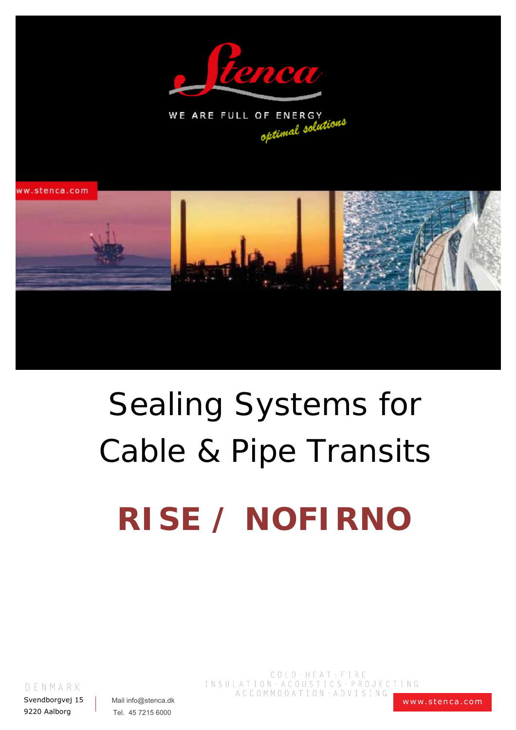



ww.stenca.com



# **Sealing Systems for Cable & Pipe Transits RISE / NOFIRNO**

DENMARK

Svendborgvej 15 9220 Aalborg

Mail info@stenca.dk Tel. 45 7215 6000

 $\begin{tabular}{c} C O L D \cdot H E A T \cdot F I R E \end{tabular}$ INSULATION · ACOUSTICS · PROJECTING ACCOMMODATION · ADVISING

www.stenca.com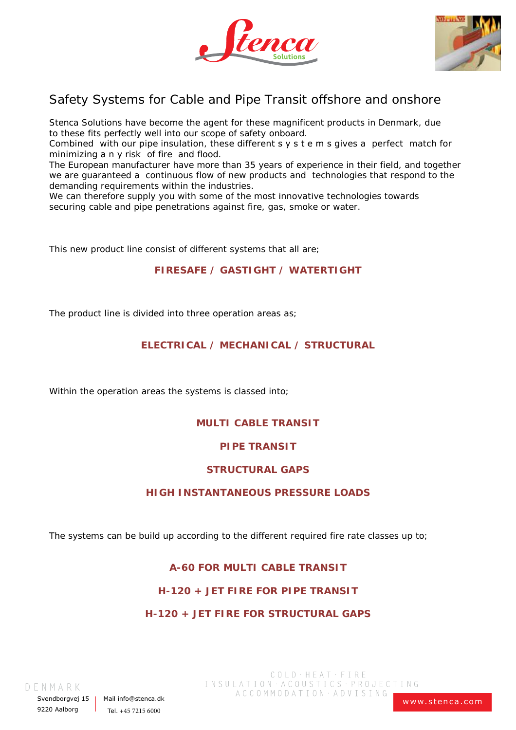



## Safety Systems for Cable and Pipe Transit offshore and onshore

Stenca Solutions have become the agent for these magnificent products in Denmark, due to these fits perfectly well into our scope of safety onboard.

Combined with our pipe insulation, these different  $s \vee s$  tems gives a perfect match for minimizing any risk of fire and flood.

The European manufacturer have more than 35 years of experience in their field, and together we are guaranteed a continuous flow of new products and technologies that respond to the demanding requirements within the industries.

We can therefore supply you with some of the most innovative technologies towards securing cable and pipe penetrations against fire, gas, smoke or water.

This new product line consist of different systems that all are;

#### **FIRESAFE / GASTIGHT / WATERTIGHT**

The product line is divided into three operation areas as;

## **ELECTRICAL / MECHANICAL / STRUCTURAL**

Within the operation areas the systems is classed into;

## **MULTI CABLE TRANSIT**

#### **PIPE TRANSIT**

#### **STRUCTURAL GAPS**

#### **HIGH INSTANTANEOUS PRESSURE LOADS**

The systems can be build up according to the different required fire rate classes up to;

## **A-60 FOR MULTI CABLE TRANSIT**

## **H-120 + JET FIRE FOR PIPE TRANSIT**

## **H-120 + JET FIRE FOR STRUCTURAL GAPS**

D E N M A R K

Svendborgvej 15 9220 Aalborg

Mail info@stenca.dk Tel.  $+45$  7215 6000

 $COLD \cdot HEAT \cdot FIRE$ INSULATION · ACOUSTICS · PROJECTING ACCOMMODATION · ADVISING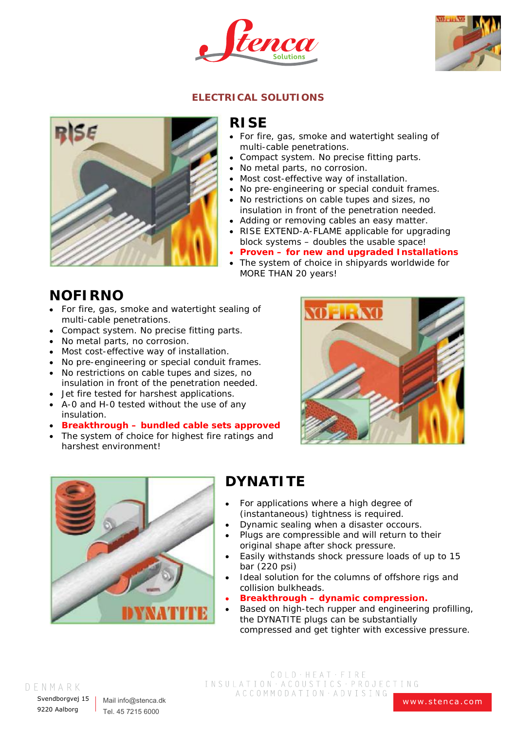



## **ELECTRICAL SOLUTIONS**



## **RISE**

- For fire, gas, smoke and watertight sealing of multi-cable penetrations.
- Compact system. No precise fitting parts.
- No metal parts, no corrosion.  $\bullet$
- Most cost-effective way of installation.
- No pre-engineering or special conduit frames.
- No restrictions on cable tupes and sizes, no insulation in front of the penetration needed.
- Adding or removing cables an easy matter.
- RISE EXTEND-A-FLAME applicable for upgrading block systems – doubles the usable space!
- **Proven for new and upgraded Installations**
- The system of choice in shipyards worldwide for MORE THAN 20 years!

## **NOFIRNO**

- $\bullet$ For fire, gas, smoke and watertight sealing of multi-cable penetrations.
- Compact system. No precise fitting parts.
- No metal parts, no corrosion.
- Most cost-effective way of installation.
- No pre-engineering or special conduit frames.
- No restrictions on cable tupes and sizes, no insulation in front of the penetration needed.
- Jet fire tested for harshest applications.
- A-0 and H-0 tested without the use of any insulation.
- **Breakthrough bundled cable sets approved**
- The system of choice for highest fire ratings and harshest environment!





## **DYNATITE**

- For applications where a high degree of (instantaneous) tightness is required.
- Dynamic sealing when a disaster occours.
- Plugs are compressible and will return to their original shape after shock pressure.
- Easily withstands shock pressure loads of up to 15 bar (220 psi)
- Ideal solution for the columns of offshore rigs and collision bulkheads.
- **Breakthrough – dynamic compression.**
- Based on high-tech rupper and engineering profilling, the DYNATITE plugs can be substantially compressed and get tighter with excessive pressure.

#### D E N M A R K

Svendboravei 15 9220 Aalborg

Mail info@stenca.dk Tel. 45 7215 6000

COLD · HEAT · FIRE INSULATION · ACOUSTICS · PROJECTING ACCOMMODATION · ADVISING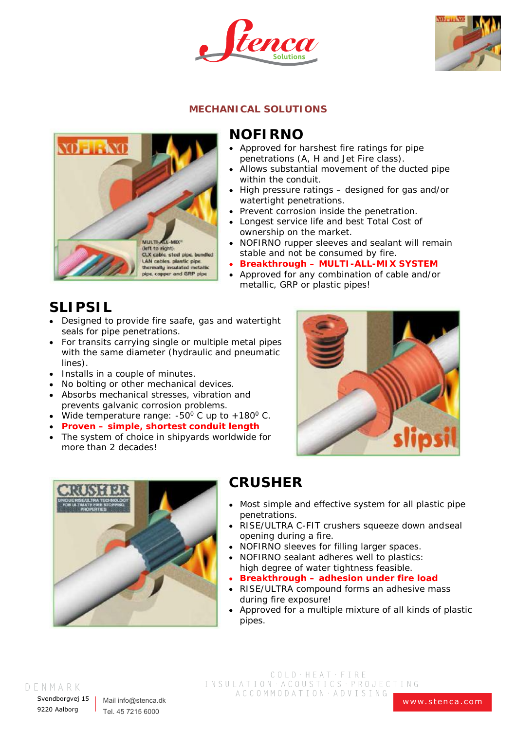



## **MECHANICAL SOLUTIONS**



## **NOFIRNO**

- Approved for harshest fire ratings for pipe penetrations (A, H and Jet Fire class).
- Allows substantial movement of the ducted pipe within the conduit.
- High pressure ratings designed for gas and/or watertight penetrations.
- Prevent corrosion inside the penetration.
- Longest service life and best Total Cost of ownership on the market.
- NOFIRNO rupper sleeves and sealant will remain stable and not be consumed by fire.
- **Breakthrough – MULTI-ALL-MIX SYSTEM**
- Approved for any combination of cable and/or metallic, GRP or plastic pipes!

## **SLIPSIL**

- Designed to provide fire saafe, gas and watertight seals for pipe penetrations.
- For transits carrying single or multiple metal pipes with the same diameter (hydraulic and pneumatic lines).
- Installs in a couple of minutes.
- No bolting or other mechanical devices.
- Absorbs mechanical stresses, vibration and prevents galvanic corrosion problems.
- Wide temperature range: -50 $^{\circ}$  C up to +180 $^{\circ}$  C.
- **Proven simple, shortest conduit length**
- The system of choice in shipyards worldwide for more than 2 decades!





## **CRUSHER**

- Most simple and effective system for all plastic pipe penetrations.
- RISE/ULTRA C-FIT crushers squeeze down andseal opening during a fire.
- NOFIRNO sleeves for filling larger spaces.
- NOFIRNO sealant adheres well to plastics: high degree of water tightness feasible.
- **Breakthrough – adhesion under fire load**
- RISE/ULTRA compound forms an adhesive mass  $\bullet$ during fire exposure!
- Approved for a multiple mixture of all kinds of plastic pipes.

#### D E N M A R K

Svendboravei 15 9220 Aalborg

Mail info@stenca.dk Tel. 45 7215 6000

COLD · HEAT · FIRE INSULATION · ACOUSTICS · PROJECTING ACCOMMODATION · ADVISING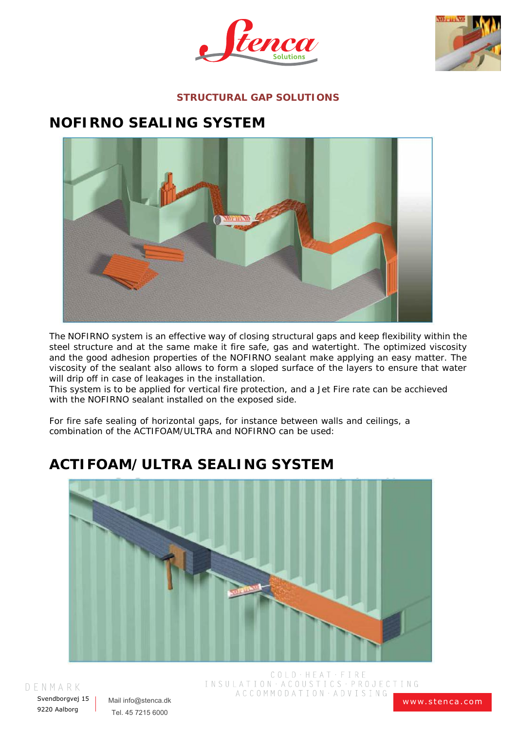



## **STRUCTURAL GAP SOLUTIONS**

## **NOFIRNO SEALING SYSTEM**



The NOFIRNO system is an effective way of closing structural gaps and keep flexibility within the steel structure and at the same make it fire safe, gas and watertight. The optimized viscosity and the good adhesion properties of the NOFIRNO sealant make applying an easy matter. The viscosity of the sealant also allows to form a sloped surface of the layers to ensure that water will drip off in case of leakages in the installation.

This system is to be applied for vertical fire protection, and a Jet Fire rate can be acchieved with the NOFIRNO sealant installed on the exposed side.

For fire safe sealing of horizontal gaps, for instance between walls and ceilings, a combination of the ACTIFOAM/ULTRA and NOFIRNO can be used:

# **ACTIFOAM/ULTRA SEALING SYSTEM**



D E N M A R K

Svendborgvej 15 9220 Aalborg

Mail info@stenca.dk Tel. 45 7215 6000

COLD · HEAT · FIRE INSULATION · ACOUSTICS · PROJECTING ACCOMMODATION · ADVISING